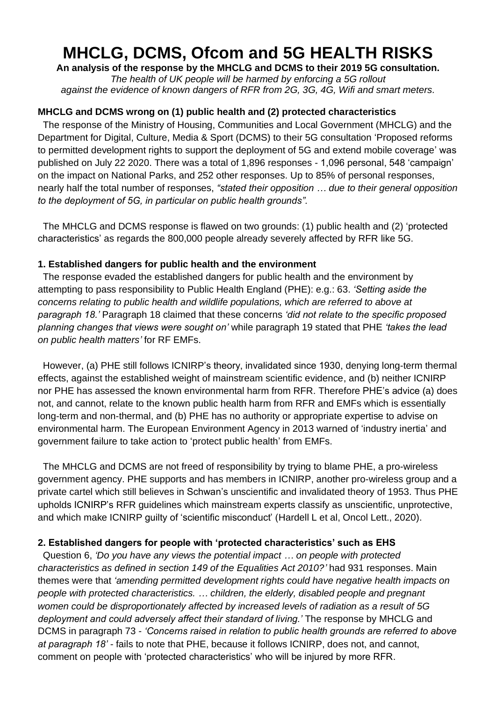# **MHCLG, DCMS, Ofcom and 5G HEALTH RISKS**

**An analysis of the response by the MHCLG and DCMS to their 2019 5G consultation.**

*The health of UK people will be harmed by enforcing a 5G rollout against the evidence of known dangers of RFR from 2G, 3G, 4G, Wifi and smart meters.*

## **MHCLG and DCMS wrong on (1) public health and (2) protected characteristics**

The response of the Ministry of Housing, Communities and Local Government (MHCLG) and the Department for Digital, Culture, Media & Sport (DCMS) to their 5G consultation 'Proposed reforms to permitted development rights to support the deployment of 5G and extend mobile coverage' was published on July 22 2020. There was a total of 1,896 responses - 1,096 personal, 548 'campaign' on the impact on National Parks, and 252 other responses. Up to 85% of personal responses, nearly half the total number of responses, *"stated their opposition … due to their general opposition to the deployment of 5G, in particular on public health grounds".*

 The MHCLG and DCMS response is flawed on two grounds: (1) public health and (2) 'protected characteristics' as regards the 800,000 people already severely affected by RFR like 5G.

## **1. Established dangers for public health and the environment**

 The response evaded the established dangers for public health and the environment by attempting to pass responsibility to Public Health England (PHE): e.g.: 63. *'Setting aside the concerns relating to public health and wildlife populations, which are referred to above at paragraph 18.'* Paragraph 18 claimed that these concerns *'did not relate to the specific proposed planning changes that views were sought on'* while paragraph 19 stated that PHE *'takes the lead on public health matters'* for RF EMFs.

 However, (a) PHE still follows ICNIRP's theory, invalidated since 1930, denying long-term thermal effects, against the established weight of mainstream scientific evidence, and (b) neither ICNIRP nor PHE has assessed the known environmental harm from RFR. Therefore PHE's advice (a) does not, and cannot, relate to the known public health harm from RFR and EMFs which is essentially long-term and non-thermal, and (b) PHE has no authority or appropriate expertise to advise on environmental harm. The European Environment Agency in 2013 warned of 'industry inertia' and government failure to take action to 'protect public health' from EMFs.

 The MHCLG and DCMS are not freed of responsibility by trying to blame PHE, a pro-wireless government agency. PHE supports and has members in ICNIRP, another pro-wireless group and a private cartel which still believes in Schwan's unscientific and invalidated theory of 1953. Thus PHE upholds ICNIRP's RFR guidelines which mainstream experts classify as unscientific, unprotective, and which make ICNIRP guilty of 'scientific misconduct' (Hardell L et al, Oncol Lett., 2020).

# **2. Established dangers for people with 'protected characteristics' such as EHS**

 Question 6, *'Do you have any views the potential impact … on people with protected characteristics as defined in section 149 of the Equalities Act 2010?'* had 931 responses. Main themes were that *'amending permitted development rights could have negative health impacts on people with protected characteristics. … children, the elderly, disabled people and pregnant women could be disproportionately affected by increased levels of radiation as a result of 5G*  deployment and could adversely affect their standard of living.' The response by MHCLG and DCMS in paragraph 73 - *'Concerns raised in relation to public health grounds are referred to above at paragraph 18' -* fails to note that PHE, because it follows ICNIRP, does not, and cannot, comment on people with 'protected characteristics' who will be injured by more RFR.